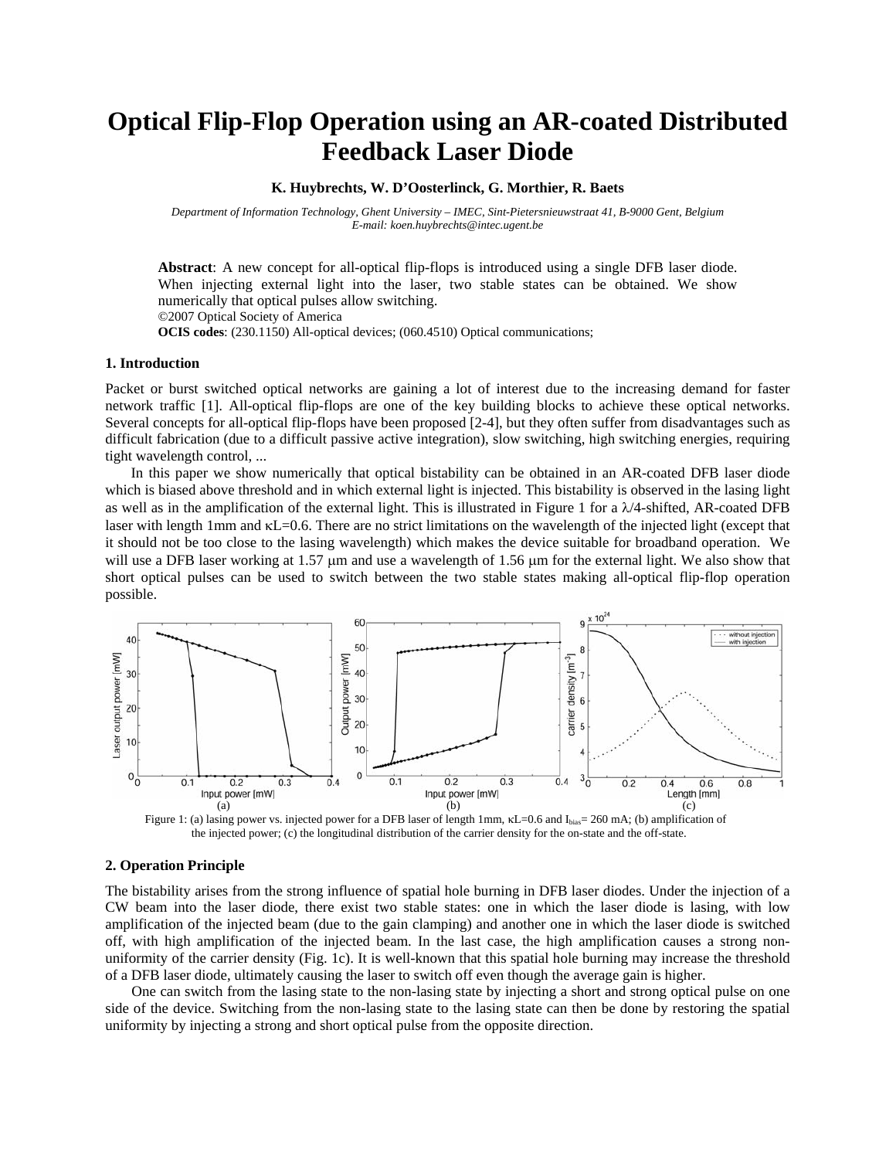# **Optical Flip-Flop Operation using an AR-coated Distributed Feedback Laser Diode**

**K. Huybrechts, W. D'Oosterlinck, G. Morthier, R. Baets** 

*Department of Information Technology, Ghent University – IMEC, Sint-Pietersnieuwstraat 41, B-9000 Gent, Belgium E-mail: koen.huybrechts@intec.ugent.be* 

**Abstract**: A new concept for all-optical flip-flops is introduced using a single DFB laser diode. When injecting external light into the laser, two stable states can be obtained. We show numerically that optical pulses allow switching. ©2007 Optical Society of America **OCIS codes**: (230.1150) All-optical devices; (060.4510) Optical communications;

#### **1. Introduction**

Packet or burst switched optical networks are gaining a lot of interest due to the increasing demand for faster network traffic [1]. All-optical flip-flops are one of the key building blocks to achieve these optical networks. Several concepts for all-optical flip-flops have been proposed [2-4], but they often suffer from disadvantages such as difficult fabrication (due to a difficult passive active integration), slow switching, high switching energies, requiring tight wavelength control, ...

In this paper we show numerically that optical bistability can be obtained in an AR-coated DFB laser diode which is biased above threshold and in which external light is injected. This bistability is observed in the lasing light as well as in the amplification of the external light. This is illustrated in Figure 1 for a  $\lambda/4$ -shifted, AR-coated DFB laser with length 1mm and κL=0.6. There are no strict limitations on the wavelength of the injected light (except that it should not be too close to the lasing wavelength) which makes the device suitable for broadband operation. We will use a DFB laser working at 1.57  $\mu$ m and use a wavelength of 1.56  $\mu$ m for the external light. We also show that short optical pulses can be used to switch between the two stable states making all-optical flip-flop operation possible.



Figure 1: (a) lasing power vs. injected power for a DFB laser of length 1mm, κL=0.6 and I<sub>bias</sub>= 260 mA; (b) amplification of the injected power; (c) the longitudinal distribution of the carrier density for the on-state and the off-state.

## **2. Operation Principle**

The bistability arises from the strong influence of spatial hole burning in DFB laser diodes. Under the injection of a CW beam into the laser diode, there exist two stable states: one in which the laser diode is lasing, with low amplification of the injected beam (due to the gain clamping) and another one in which the laser diode is switched off, with high amplification of the injected beam. In the last case, the high amplification causes a strong nonuniformity of the carrier density (Fig. 1c). It is well-known that this spatial hole burning may increase the threshold of a DFB laser diode, ultimately causing the laser to switch off even though the average gain is higher.

One can switch from the lasing state to the non-lasing state by injecting a short and strong optical pulse on one side of the device. Switching from the non-lasing state to the lasing state can then be done by restoring the spatial uniformity by injecting a strong and short optical pulse from the opposite direction.